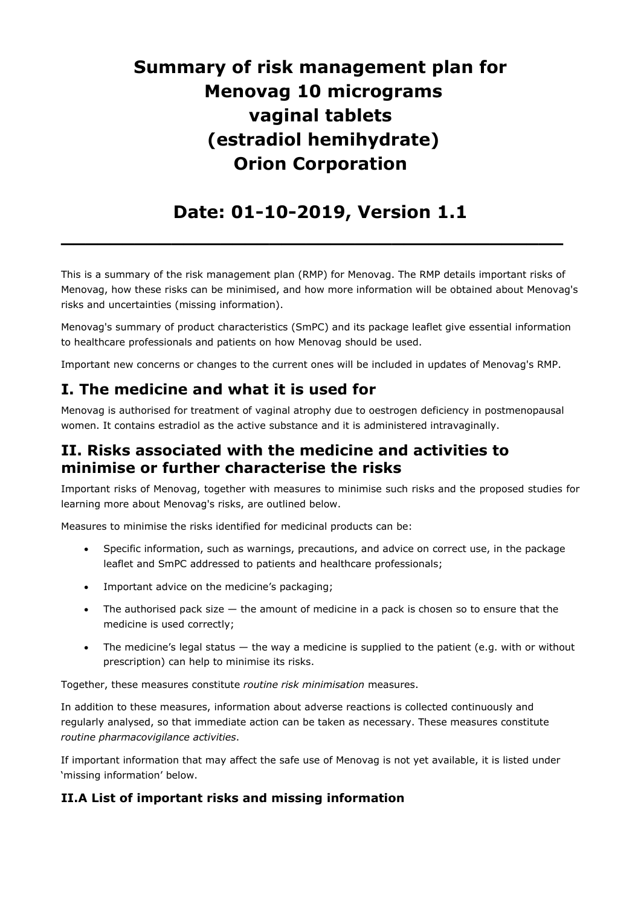# **Summary of risk management plan for Menovag 10 micrograms vaginal tablets (estradiol hemihydrate) Orion Corporation**

## **Date: 01-10-2019, Version 1.1**

**\_\_\_\_\_\_\_\_\_\_\_\_\_\_\_\_\_\_\_\_\_\_\_\_\_\_\_\_\_\_\_\_\_\_\_\_\_\_\_\_\_**

This is a summary of the risk management plan (RMP) for Menovag. The RMP details important risks of Menovag, how these risks can be minimised, and how more information will be obtained about Menovag's risks and uncertainties (missing information).

Menovag's summary of product characteristics (SmPC) and its package leaflet give essential information to healthcare professionals and patients on how Menovag should be used.

Important new concerns or changes to the current ones will be included in updates of Menovag's RMP.

## **I. The medicine and what it is used for**

Menovag is authorised for treatment of vaginal atrophy due to oestrogen deficiency in postmenopausal women. It contains estradiol as the active substance and it is administered intravaginally.

## **II. Risks associated with the medicine and activities to minimise or further characterise the risks**

Important risks of Menovag, together with measures to minimise such risks and the proposed studies for learning more about Menovag's risks, are outlined below.

Measures to minimise the risks identified for medicinal products can be:

- Specific information, such as warnings, precautions, and advice on correct use, in the package leaflet and SmPC addressed to patients and healthcare professionals;
- Important advice on the medicine's packaging;
- The authorised pack size  $-$  the amount of medicine in a pack is chosen so to ensure that the medicine is used correctly;
- The medicine's legal status  $-$  the way a medicine is supplied to the patient (e.g. with or without prescription) can help to minimise its risks.

Together, these measures constitute *routine risk minimisation* measures.

In addition to these measures, information about adverse reactions is collected continuously and regularly analysed, so that immediate action can be taken as necessary. These measures constitute *routine pharmacovigilance activities*.

If important information that may affect the safe use of Menovag is not yet available, it is listed under 'missing information' below.

### **II.A List of important risks and missing information**